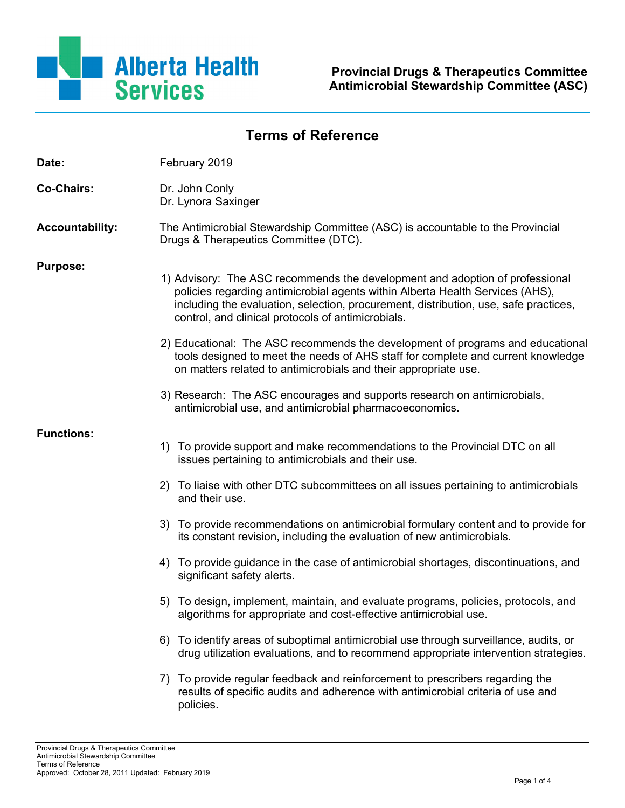

| Terms of Reference     |                                                                                                                                                                                                                                                                                                             |  |  |
|------------------------|-------------------------------------------------------------------------------------------------------------------------------------------------------------------------------------------------------------------------------------------------------------------------------------------------------------|--|--|
| Date:                  | February 2019                                                                                                                                                                                                                                                                                               |  |  |
| <b>Co-Chairs:</b>      | Dr. John Conly<br>Dr. Lynora Saxinger                                                                                                                                                                                                                                                                       |  |  |
| <b>Accountability:</b> | The Antimicrobial Stewardship Committee (ASC) is accountable to the Provincial<br>Drugs & Therapeutics Committee (DTC).                                                                                                                                                                                     |  |  |
| <b>Purpose:</b>        | 1) Advisory: The ASC recommends the development and adoption of professional<br>policies regarding antimicrobial agents within Alberta Health Services (AHS),<br>including the evaluation, selection, procurement, distribution, use, safe practices,<br>control, and clinical protocols of antimicrobials. |  |  |
|                        | 2) Educational: The ASC recommends the development of programs and educational<br>tools designed to meet the needs of AHS staff for complete and current knowledge<br>on matters related to antimicrobials and their appropriate use.                                                                       |  |  |
|                        | 3) Research: The ASC encourages and supports research on antimicrobials,<br>antimicrobial use, and antimicrobial pharmacoeconomics.                                                                                                                                                                         |  |  |
| <b>Functions:</b>      | 1) To provide support and make recommendations to the Provincial DTC on all<br>issues pertaining to antimicrobials and their use.                                                                                                                                                                           |  |  |
|                        | 2) To liaise with other DTC subcommittees on all issues pertaining to antimicrobials<br>and their use.                                                                                                                                                                                                      |  |  |
|                        | 3) To provide recommendations on antimicrobial formulary content and to provide for<br>its constant revision, including the evaluation of new antimicrobials.                                                                                                                                               |  |  |
|                        | To provide guidance in the case of antimicrobial shortages, discontinuations, and<br>4)<br>significant safety alerts.                                                                                                                                                                                       |  |  |
|                        | 5) To design, implement, maintain, and evaluate programs, policies, protocols, and<br>algorithms for appropriate and cost-effective antimicrobial use.                                                                                                                                                      |  |  |
|                        | 6) To identify areas of suboptimal antimicrobial use through surveillance, audits, or<br>drug utilization evaluations, and to recommend appropriate intervention strategies.                                                                                                                                |  |  |
|                        | 7) To provide regular feedback and reinforcement to prescribers regarding the<br>results of specific audits and adherence with antimicrobial criteria of use and<br>policies.                                                                                                                               |  |  |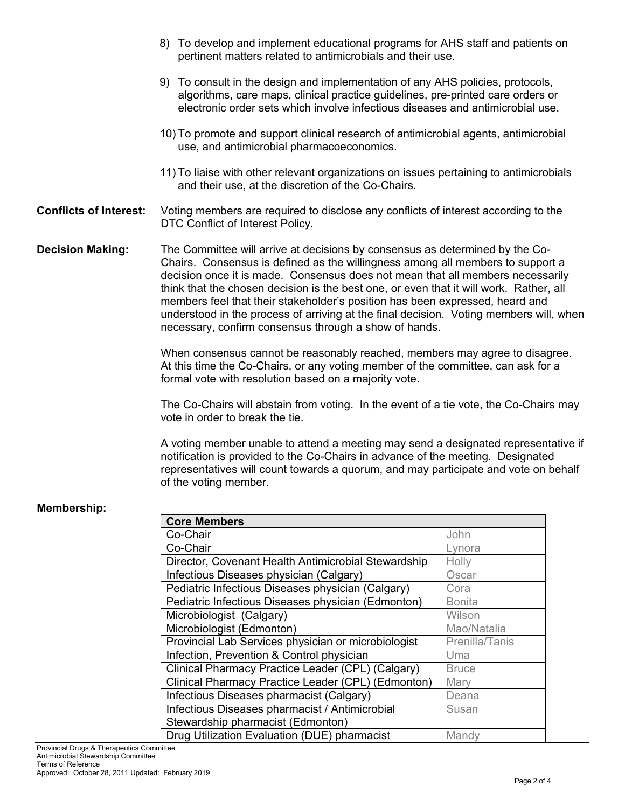8) To develop and implement educational programs for AHS staff and patients on pertinent matters related to antimicrobials and their use. 9) To consult in the design and implementation of any AHS policies, protocols, algorithms, care maps, clinical practice guidelines, pre-printed care orders or electronic order sets which involve infectious diseases and antimicrobial use. 10) To promote and support clinical research of antimicrobial agents, antimicrobial use, and antimicrobial pharmacoeconomics. 11) To liaise with other relevant organizations on issues pertaining to antimicrobials and their use, at the discretion of the Co-Chairs. **Conflicts of Interest:** Voting members are required to disclose any conflicts of interest according to the DTC Conflict of Interest Policy. **Decision Making:** The Committee will arrive at decisions by consensus as determined by the Co-Chairs. Consensus is defined as the willingness among all members to support a decision once it is made. Consensus does not mean that all members necessarily think that the chosen decision is the best one, or even that it will work. Rather, all members feel that their stakeholder's position has been expressed, heard and understood in the process of arriving at the final decision. Voting members will, when necessary, confirm consensus through a show of hands.

When consensus cannot be reasonably reached, members may agree to disagree. At this time the Co-Chairs, or any voting member of the committee, can ask for a formal vote with resolution based on a majority vote.

The Co-Chairs will abstain from voting. In the event of a tie vote, the Co-Chairs may vote in order to break the tie.

A voting member unable to attend a meeting may send a designated representative if notification is provided to the Co-Chairs in advance of the meeting. Designated representatives will count towards a quorum, and may participate and vote on behalf of the voting member.

## **Membership:**

| <b>Core Members</b>                                 |                |
|-----------------------------------------------------|----------------|
| Co-Chair                                            | John           |
| Co-Chair                                            | Lynora         |
| Director, Covenant Health Antimicrobial Stewardship | Holly          |
| Infectious Diseases physician (Calgary)             | Oscar          |
| Pediatric Infectious Diseases physician (Calgary)   | Cora           |
| Pediatric Infectious Diseases physician (Edmonton)  | <b>Bonita</b>  |
| Microbiologist (Calgary)                            | Wilson         |
| Microbiologist (Edmonton)                           | Mao/Natalia    |
| Provincial Lab Services physician or microbiologist | Prenilla/Tanis |
| Infection, Prevention & Control physician           | Uma            |
| Clinical Pharmacy Practice Leader (CPL) (Calgary)   | <b>Bruce</b>   |
| Clinical Pharmacy Practice Leader (CPL) (Edmonton)  | Mary           |
| Infectious Diseases pharmacist (Calgary)            | Deana          |
| Infectious Diseases pharmacist / Antimicrobial      | Susan          |
| Stewardship pharmacist (Edmonton)                   |                |
| Drug Utilization Evaluation (DUE) pharmacist        | Mandy          |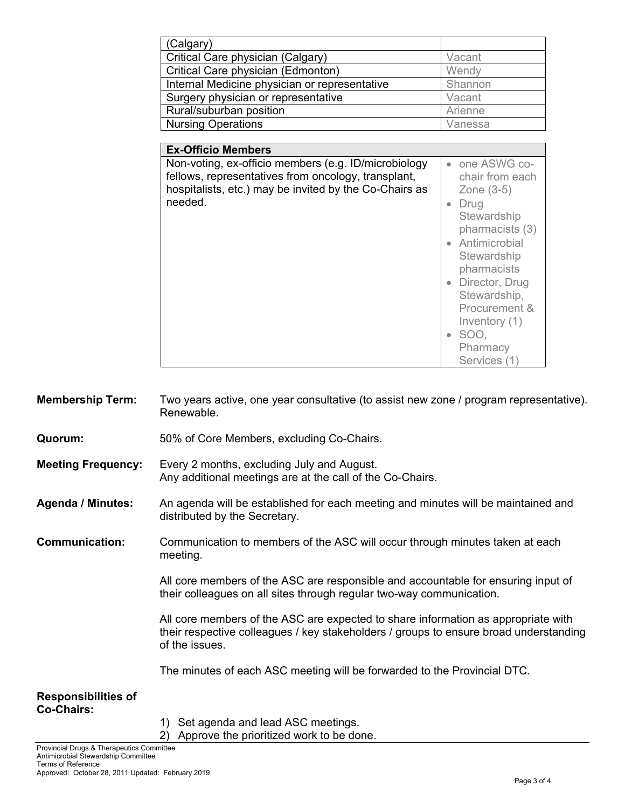| (Calgary)                                     |         |
|-----------------------------------------------|---------|
| Critical Care physician (Calgary)             | Vacant  |
| Critical Care physician (Edmonton)            | Wendy   |
| Internal Medicine physician or representative | Shannon |
| Surgery physician or representative           | Vacant  |
| Rural/suburban position                       | Arienne |
| <b>Nursing Operations</b>                     | Vanessa |
|                                               |         |

| <b>Ex-Officio Members</b>                                                                                                                                                        |                                                                                                                                                                                                                                                                            |
|----------------------------------------------------------------------------------------------------------------------------------------------------------------------------------|----------------------------------------------------------------------------------------------------------------------------------------------------------------------------------------------------------------------------------------------------------------------------|
| Non-voting, ex-officio members (e.g. ID/microbiology<br>fellows, representatives from oncology, transplant,<br>hospitalists, etc.) may be invited by the Co-Chairs as<br>needed. | • one ASWG co-<br>chair from each<br>Zone $(3-5)$<br>Drug<br>$\bullet$<br>Stewardship<br>pharmacists (3)<br>• Antimicrobial<br>Stewardship<br>pharmacists<br>Director, Drug<br>Stewardship,<br>Procurement &<br>Inventory (1)<br>$\bullet$ SOO.<br>Pharmacy<br>Services (1 |

**Membership Term:** Two years active, one year consultative (to assist new zone / program representative). Renewable.

- **Quorum:** 50% of Core Members, excluding Co-Chairs.
- **Meeting Frequency:** Every 2 months, excluding July and August. Any additional meetings are at the call of the Co-Chairs.
- **Agenda / Minutes:** An agenda will be established for each meeting and minutes will be maintained and distributed by the Secretary.

**Communication:** Communication to members of the ASC will occur through minutes taken at each meeting.

> All core members of the ASC are responsible and accountable for ensuring input of their colleagues on all sites through regular two-way communication.

All core members of the ASC are expected to share information as appropriate with their respective colleagues / key stakeholders / groups to ensure broad understanding of the issues.

The minutes of each ASC meeting will be forwarded to the Provincial DTC.

| <b>Responsibilities of</b> |  |
|----------------------------|--|
| Co-Chairs:                 |  |

- 1) Set agenda and lead ASC meetings.
- 2) Approve the prioritized work to be done.